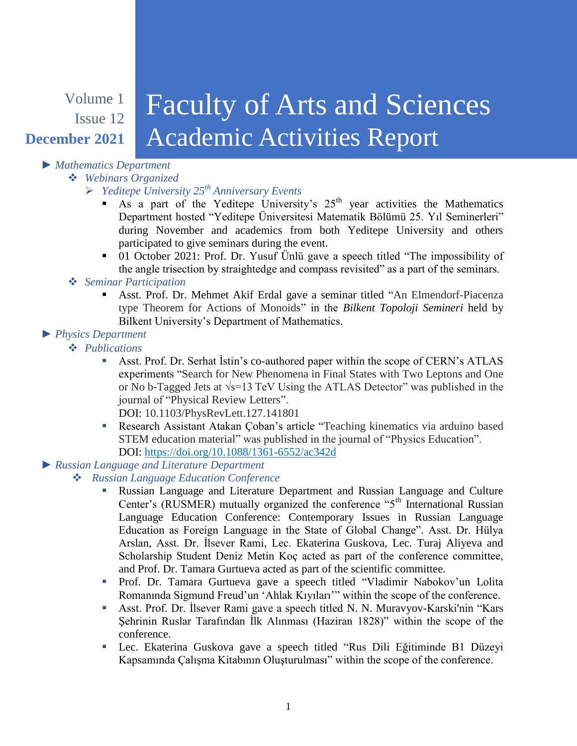## Volume 1 Issue 12 **December 2021** Faculty of Arts and Sciences Academic Activities Report

## *► Mathematics Department*

*Webinars Organized*

- *Yeditepe University 25th Anniversary Events*
	- As a part of the Yeditepe University's  $25<sup>th</sup>$  year activities the Mathematics Department hosted "Yeditepe Üniversitesi Matematik Bölümü 25. Yıl Seminerleri" during November and academics from both Yeditepe University and others participated to give seminars during the event.
	- 01 October 2021: Prof. Dr. Yusuf Ünlü gave a speech titled "The impossibility of the angle trisection by straightedge and compass revisited" as a part of the seminars.

## *Seminar Participation*

 Asst. Prof. Dr. Mehmet Akif Erdal gave a seminar titled "An Elmendorf-Piacenza type Theorem for Actions of Monoids" in the *Bilkent Topoloji Semineri* held by Bilkent University's Department of Mathematics.

## *► Physics Department*

*Publications*

 Asst. Prof. Dr. Serhat İstin's co-authored paper within the scope of CERN's ATLAS experiments "Search for New Phenomena in Final States with Two Leptons and One or No b-Tagged Jets at √s=13 TeV Using the ATLAS Detector" was published in the journal of "Physical Review Letters".

DOI: 10.1103/PhysRevLett.127.141801

 Research Assistant Atakan Çoban's article "Teaching kinematics via arduino based STEM education material" was published in the journal of "Physics Education". DOI:<https://doi.org/10.1088/1361-6552/ac342d>

# *► Russian Language and Literature Department*

## *Russian Language Education Conference*

- Russian Language and Literature Department and Russian Language and Culture Center's (RUSMER) mutually organized the conference " $5<sup>th</sup>$  International Russian Language Education Conference: Contemporary Issues in Russian Language Education as Foreign Language in the State of Global Change". Asst. Dr. Hülya Arslan, Asst. Dr. İlsever Rami, Lec. Ekaterina Guskova, Lec. Turaj Aliyeva and Scholarship Student Deniz Metin Koç acted as part of the conference committee, and Prof. Dr. Tamara Gurtueva acted as part of the scientific committee.
- Prof. Dr. Tamara Gurtueva gave a speech titled "Vladimir Nabokov'un Lolita Romanında Sigmund Freud'un 'Ahlak Kıyıları'" within the scope of the conference.
- Asst. Prof. Dr. İlsever Rami gave a speech titled N. N. Muravyov-Karski'nin "Kars Şehrinin Ruslar Tarafından İlk Alınması (Haziran 1828)" within the scope of the conference.
- Lec. Ekaterina Guskova gave a speech titled "Rus Dili Eğitiminde B1 Düzeyi Kapsamında Çalışma Kitabının Oluşturulması" within the scope of the conference.